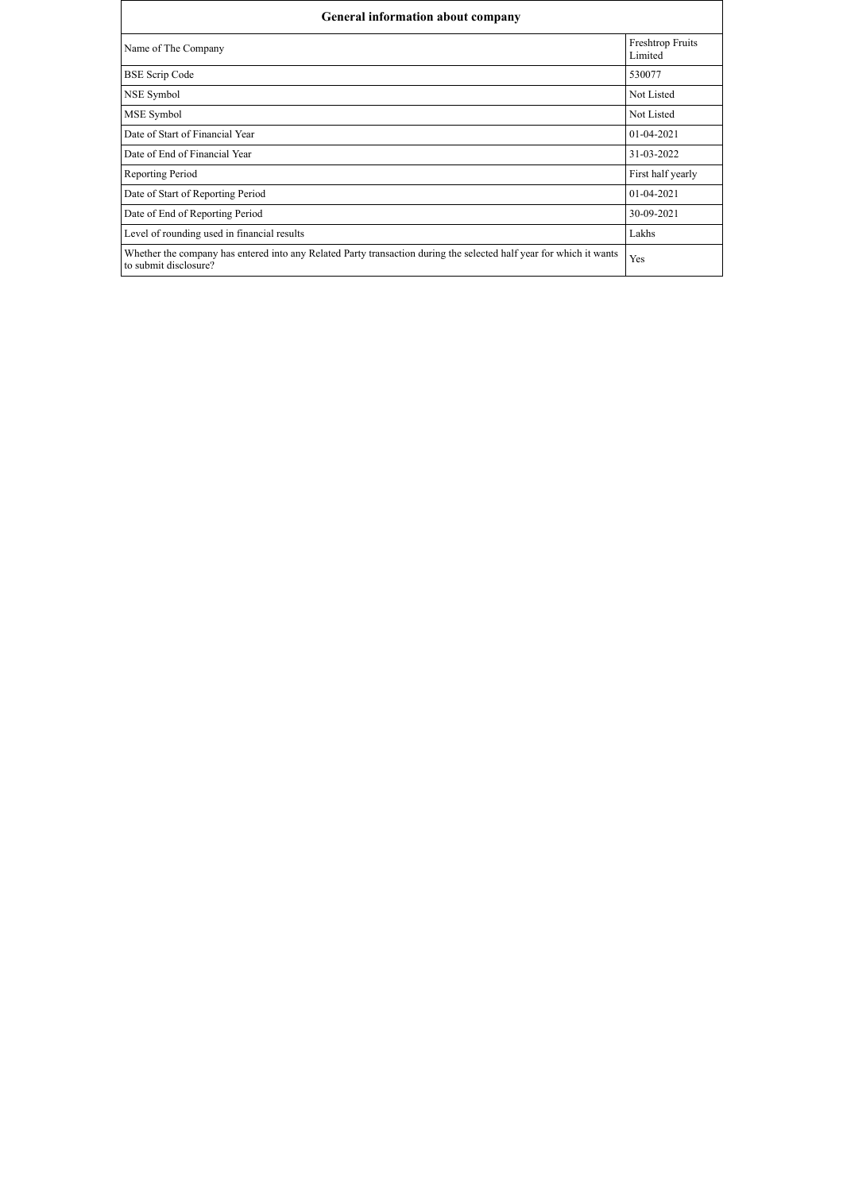| General information about company                                                                                                            |                                    |  |  |  |  |  |
|----------------------------------------------------------------------------------------------------------------------------------------------|------------------------------------|--|--|--|--|--|
| Name of The Company                                                                                                                          | <b>Freshtrop Fruits</b><br>Limited |  |  |  |  |  |
| <b>BSE Scrip Code</b>                                                                                                                        | 530077                             |  |  |  |  |  |
| NSE Symbol                                                                                                                                   | Not Listed                         |  |  |  |  |  |
| MSE Symbol                                                                                                                                   | Not Listed                         |  |  |  |  |  |
| Date of Start of Financial Year                                                                                                              | $01-04-2021$                       |  |  |  |  |  |
| Date of End of Financial Year                                                                                                                | 31-03-2022                         |  |  |  |  |  |
| Reporting Period                                                                                                                             | First half yearly                  |  |  |  |  |  |
| Date of Start of Reporting Period                                                                                                            | $01-04-2021$                       |  |  |  |  |  |
| Date of End of Reporting Period                                                                                                              | 30-09-2021                         |  |  |  |  |  |
| Level of rounding used in financial results                                                                                                  | Lakhs                              |  |  |  |  |  |
| Whether the company has entered into any Related Party transaction during the selected half year for which it wants<br>to submit disclosure? | Yes                                |  |  |  |  |  |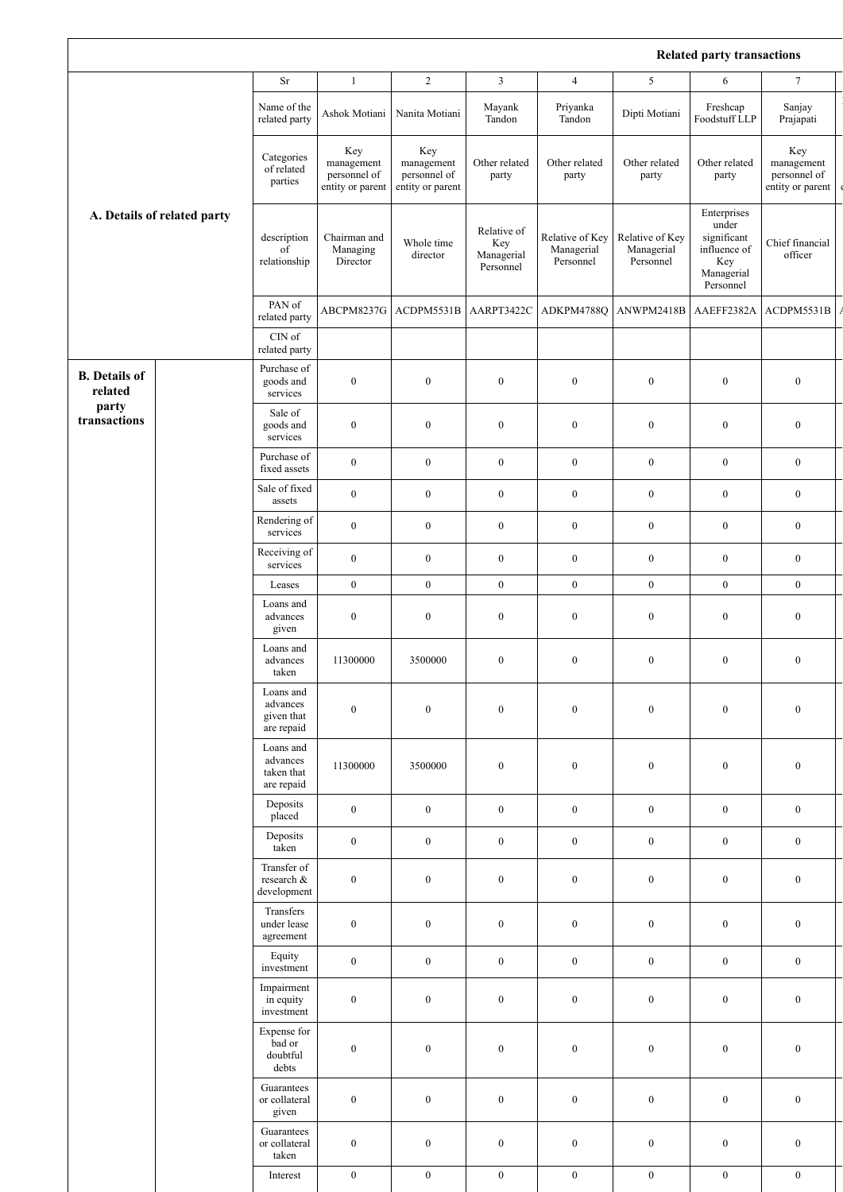## **Related party transactions**

|                                 |  |                                                   |                                                       |                                                       |                                               |                                            |                                            | Related party transactions                                                            |                                                       |
|---------------------------------|--|---------------------------------------------------|-------------------------------------------------------|-------------------------------------------------------|-----------------------------------------------|--------------------------------------------|--------------------------------------------|---------------------------------------------------------------------------------------|-------------------------------------------------------|
|                                 |  | Sr                                                | $\mathbf{1}$                                          | $\overline{2}$                                        | $\mathfrak{Z}$                                | $\overline{4}$                             | 5                                          | 6                                                                                     | $\tau$                                                |
|                                 |  | Name of the<br>related party                      | Ashok Motiani                                         | Nanita Motiani                                        | Mayank<br>Tandon                              | Priyanka<br>Tandon                         | Dipti Motiani                              | Freshcap<br>Foodstuff LLP                                                             | Sanjay<br>Prajapati                                   |
| A. Details of related party     |  | Categories<br>of related<br>parties               | Key<br>management<br>personnel of<br>entity or parent | Key<br>management<br>personnel of<br>entity or parent | Other related<br>party                        | Other related<br>party                     | Other related<br>party                     | Other related<br>party                                                                | Key<br>management<br>personnel of<br>entity or parent |
|                                 |  | description<br>$\overline{of}$<br>relationship    | Chairman and<br>Managing<br>Director                  | Whole time<br>director                                | Relative of<br>Key<br>Managerial<br>Personnel | Relative of Key<br>Managerial<br>Personnel | Relative of Key<br>Managerial<br>Personnel | Enterprises<br>under<br>significant<br>influence of<br>Key<br>Managerial<br>Personnel | Chief financial<br>officer                            |
|                                 |  | PAN of<br>related party                           | ABCPM8237G                                            | ACDPM5531B                                            | AARPT3422C                                    | ADKPM4788O                                 | ANWPM2418B                                 | AAEFF2382A                                                                            | ACDPM5531B                                            |
|                                 |  | $\mathop{\rm CIN}\nolimits$ of<br>related party   |                                                       |                                                       |                                               |                                            |                                            |                                                                                       |                                                       |
| <b>B.</b> Details of<br>related |  | Purchase of<br>goods and<br>services              | $\boldsymbol{0}$                                      | $\boldsymbol{0}$                                      | $\boldsymbol{0}$                              | $\boldsymbol{0}$                           | $\boldsymbol{0}$                           | $\boldsymbol{0}$                                                                      | $\boldsymbol{0}$                                      |
| party<br>transactions           |  | Sale of<br>goods and<br>services                  | $\boldsymbol{0}$                                      | $\boldsymbol{0}$                                      | $\boldsymbol{0}$                              | $\boldsymbol{0}$                           | $\boldsymbol{0}$                           | $\boldsymbol{0}$                                                                      | $\boldsymbol{0}$                                      |
|                                 |  | Purchase of<br>fixed assets                       | $\boldsymbol{0}$                                      | $\boldsymbol{0}$                                      | $\boldsymbol{0}$                              | $\boldsymbol{0}$                           | $\bf{0}$                                   | $\boldsymbol{0}$                                                                      | $\boldsymbol{0}$                                      |
|                                 |  | Sale of fixed<br>assets                           | $\boldsymbol{0}$                                      | $\boldsymbol{0}$                                      | $\boldsymbol{0}$                              | $\boldsymbol{0}$                           | $\boldsymbol{0}$                           | $\boldsymbol{0}$                                                                      | $\boldsymbol{0}$                                      |
|                                 |  | Rendering of<br>services                          | $\boldsymbol{0}$                                      | $\boldsymbol{0}$                                      | $\boldsymbol{0}$                              | $\boldsymbol{0}$                           | $\boldsymbol{0}$                           | $\boldsymbol{0}$                                                                      | $\boldsymbol{0}$                                      |
|                                 |  | Receiving of<br>services                          | $\boldsymbol{0}$                                      | $\boldsymbol{0}$                                      | $\boldsymbol{0}$                              | $\boldsymbol{0}$                           | $\boldsymbol{0}$                           | $\boldsymbol{0}$                                                                      | $\boldsymbol{0}$                                      |
|                                 |  | Leases                                            | $\boldsymbol{0}$                                      | $\boldsymbol{0}$                                      | $\boldsymbol{0}$                              | $\boldsymbol{0}$                           | $\boldsymbol{0}$                           | $\boldsymbol{0}$                                                                      | $\boldsymbol{0}$                                      |
|                                 |  | Loans and<br>advances<br>given                    | $\boldsymbol{0}$                                      | $\boldsymbol{0}$                                      | $\boldsymbol{0}$                              | $\boldsymbol{0}$                           | $\boldsymbol{0}$                           | $\boldsymbol{0}$                                                                      | $\boldsymbol{0}$                                      |
|                                 |  | Loans and<br>advances<br>taken                    | 11300000                                              | 3500000                                               | $\boldsymbol{0}$                              | $\boldsymbol{0}$                           | $\boldsymbol{0}$                           | $\boldsymbol{0}$                                                                      | $\boldsymbol{0}$                                      |
|                                 |  | Loans and<br>advances<br>given that<br>are repaid | $\boldsymbol{0}$                                      | $\boldsymbol{0}$                                      | $\boldsymbol{0}$                              | $\boldsymbol{0}$                           | $\boldsymbol{0}$                           | $\boldsymbol{0}$                                                                      | $\boldsymbol{0}$                                      |
|                                 |  | Loans and<br>advances<br>taken that<br>are repaid | 11300000                                              | 3500000                                               | $\boldsymbol{0}$                              | $\boldsymbol{0}$                           | $\boldsymbol{0}$                           | $\boldsymbol{0}$                                                                      | $\boldsymbol{0}$                                      |
|                                 |  | Deposits<br>placed                                | $\boldsymbol{0}$                                      | $\mathbf{0}$                                          | $\boldsymbol{0}$                              | $\boldsymbol{0}$                           | $\boldsymbol{0}$                           | $\boldsymbol{0}$                                                                      | $\boldsymbol{0}$                                      |
|                                 |  | Deposits<br>taken                                 | $\boldsymbol{0}$                                      | $\boldsymbol{0}$                                      | $\boldsymbol{0}$                              | $\boldsymbol{0}$                           | $\boldsymbol{0}$                           | $\boldsymbol{0}$                                                                      | $\boldsymbol{0}$                                      |
|                                 |  | Transfer of<br>research &<br>development          | $\boldsymbol{0}$                                      | $\boldsymbol{0}$                                      | $\boldsymbol{0}$                              | $\boldsymbol{0}$                           | $\boldsymbol{0}$                           | $\boldsymbol{0}$                                                                      | $\boldsymbol{0}$                                      |
|                                 |  | Transfers<br>under lease<br>agreement             | $\boldsymbol{0}$                                      | $\boldsymbol{0}$                                      | $\boldsymbol{0}$                              | $\boldsymbol{0}$                           | $\boldsymbol{0}$                           | $\boldsymbol{0}$                                                                      | $\boldsymbol{0}$                                      |
|                                 |  | Equity<br>investment                              | $\boldsymbol{0}$                                      | $\bf{0}$                                              | $\boldsymbol{0}$                              | $\boldsymbol{0}$                           | $\boldsymbol{0}$                           | $\boldsymbol{0}$                                                                      | $\boldsymbol{0}$                                      |
|                                 |  | Impairment<br>in equity<br>investment             | $\boldsymbol{0}$                                      | $\boldsymbol{0}$                                      | $\boldsymbol{0}$                              | $\boldsymbol{0}$                           | $\boldsymbol{0}$                           | $\boldsymbol{0}$                                                                      | $\boldsymbol{0}$                                      |
|                                 |  | Expense for<br>bad or<br>doubtful<br>debts        | $\boldsymbol{0}$                                      | $\boldsymbol{0}$                                      | $\boldsymbol{0}$                              | $\boldsymbol{0}$                           | $\boldsymbol{0}$                           | $\boldsymbol{0}$                                                                      | $\boldsymbol{0}$                                      |
|                                 |  | Guarantees<br>or collateral<br>given              | $\boldsymbol{0}$                                      | $\boldsymbol{0}$                                      | $\boldsymbol{0}$                              | $\boldsymbol{0}$                           | $\boldsymbol{0}$                           | $\boldsymbol{0}$                                                                      | $\boldsymbol{0}$                                      |
|                                 |  | Guarantees<br>or collateral<br>taken              | $\boldsymbol{0}$                                      | $\boldsymbol{0}$                                      | $\boldsymbol{0}$                              | $\boldsymbol{0}$                           | $\boldsymbol{0}$                           | $\boldsymbol{0}$                                                                      | $\boldsymbol{0}$                                      |
|                                 |  | Interest                                          | $\boldsymbol{0}$                                      | $\boldsymbol{0}$                                      | $\boldsymbol{0}$                              | $\boldsymbol{0}$                           | $\boldsymbol{0}$                           | $\boldsymbol{0}$                                                                      | $\boldsymbol{0}$                                      |

 $\overline{\Gamma}$